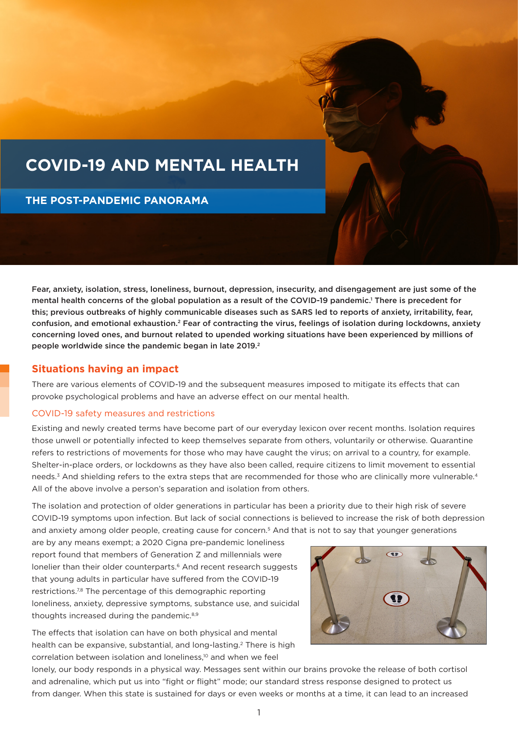# **COVID-19 AND MENTAL HEALTH**

**THE POST-PANDEMIC PANORAMA**

Fear, anxiety, isolation, stress, loneliness, burnout, depression, insecurity, and disengagement are just some of the mental health concerns of the global population as a result of the COVID-19 pandemic.1 There is precedent for this; previous outbreaks of highly communicable diseases such as SARS led to reports of anxiety, irritability, fear, confusion, and emotional exhaustion.2 Fear of contracting the virus, feelings of isolation during lockdowns, anxiety concerning loved ones, and burnout related to upended working situations have been experienced by millions of people worldwide since the pandemic began in late 2019.<sup>2</sup>

# **Situations having an impact**

There are various elements of COVID-19 and the subsequent measures imposed to mitigate its effects that can provoke psychological problems and have an adverse effect on our mental health.

# COVID-19 safety measures and restrictions

Existing and newly created terms have become part of our everyday lexicon over recent months. Isolation requires those unwell or potentially infected to keep themselves separate from others, voluntarily or otherwise. Quarantine refers to restrictions of movements for those who may have caught the virus; on arrival to a country, for example. Shelter-in-place orders, or lockdowns as they have also been called, require citizens to limit movement to essential needs.<sup>3</sup> And shielding refers to the extra steps that are recommended for those who are clinically more vulnerable.<sup>4</sup> All of the above involve a person's separation and isolation from others.

The isolation and protection of older generations in particular has been a priority due to their high risk of severe COVID-19 symptoms upon infection. But lack of social connections is believed to increase the risk of both depression and anxiety among older people, creating cause for concern.<sup>5</sup> And that is not to say that younger generations

are by any means exempt; a 2020 Cigna pre-pandemic loneliness report found that members of Generation Z and millennials were lonelier than their older counterparts.<sup>6</sup> And recent research suggests that young adults in particular have suffered from the COVID-19 restrictions.<sup>7,8</sup> The percentage of this demographic reporting loneliness, anxiety, depressive symptoms, substance use, and suicidal thoughts increased during the pandemic.<sup>8,9</sup>

The effects that isolation can have on both physical and mental health can be expansive, substantial, and long-lasting.2 There is high correlation between isolation and loneliness,10 and when we feel



lonely, our body responds in a physical way. Messages sent within our brains provoke the release of both cortisol and adrenaline, which put us into "fight or flight" mode; our standard stress response designed to protect us from danger. When this state is sustained for days or even weeks or months at a time, it can lead to an increased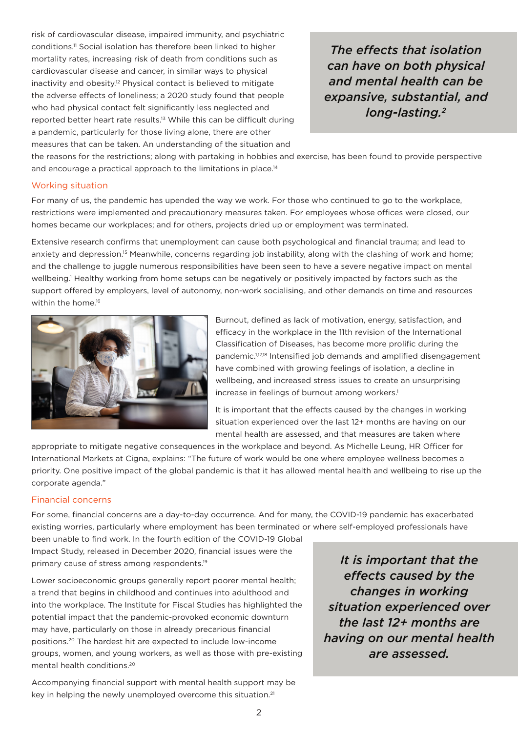risk of cardiovascular disease, impaired immunity, and psychiatric conditions.11 Social isolation has therefore been linked to higher mortality rates, increasing risk of death from conditions such as cardiovascular disease and cancer, in similar ways to physical inactivity and obesity.<sup>12</sup> Physical contact is believed to mitigate the adverse effects of loneliness; a 2020 study found that people who had physical contact felt significantly less neglected and reported better heart rate results.13 While this can be difficult during a pandemic, particularly for those living alone, there are other measures that can be taken. An understanding of the situation and

*The effects that isolation can have on both physical and mental health can be expansive, substantial, and long-lasting.2*

the reasons for the restrictions; along with partaking in hobbies and exercise, has been found to provide perspective and encourage a practical approach to the limitations in place.<sup>14</sup>

### Working situation

For many of us, the pandemic has upended the way we work. For those who continued to go to the workplace, restrictions were implemented and precautionary measures taken. For employees whose offices were closed, our homes became our workplaces; and for others, projects dried up or employment was terminated.

Extensive research confirms that unemployment can cause both psychological and financial trauma; and lead to anxiety and depression.15 Meanwhile, concerns regarding job instability, along with the clashing of work and home; and the challenge to juggle numerous responsibilities have been seen to have a severe negative impact on mental wellbeing.<sup>1</sup> Healthy working from home setups can be negatively or positively impacted by factors such as the support offered by employers, level of autonomy, non-work socialising, and other demands on time and resources within the home.<sup>16</sup>



Burnout, defined as lack of motivation, energy, satisfaction, and efficacy in the workplace in the 11th revision of the International Classification of Diseases, has become more prolific during the pandemic.1,17,18 Intensified job demands and amplified disengagement have combined with growing feelings of isolation, a decline in wellbeing, and increased stress issues to create an unsurprising increase in feelings of burnout among workers.<sup>1</sup>

It is important that the effects caused by the changes in working situation experienced over the last 12+ months are having on our mental health are assessed, and that measures are taken where

appropriate to mitigate negative consequences in the workplace and beyond. As Michelle Leung, HR Officer for International Markets at Cigna, explains: "The future of work would be one where employee wellness becomes a priority. One positive impact of the global pandemic is that it has allowed mental health and wellbeing to rise up the corporate agenda."

# Financial concerns

For some, financial concerns are a day-to-day occurrence. And for many, the COVID-19 pandemic has exacerbated existing worries, particularly where employment has been terminated or where self-employed professionals have

been unable to find work. In the fourth edition of the COVID-19 Global Impact Study, released in December 2020, financial issues were the primary cause of stress among respondents.19

Lower socioeconomic groups generally report poorer mental health; a trend that begins in childhood and continues into adulthood and into the workplace. The Institute for Fiscal Studies has highlighted the potential impact that the pandemic-provoked economic downturn may have, particularly on those in already precarious financial positions.20 The hardest hit are expected to include low-income groups, women, and young workers, as well as those with pre-existing mental health conditions.20

Accompanying financial support with mental health support may be key in helping the newly unemployed overcome this situation.<sup>21</sup>

*It is important that the effects caused by the changes in working situation experienced over the last 12+ months are having on our mental health are assessed.*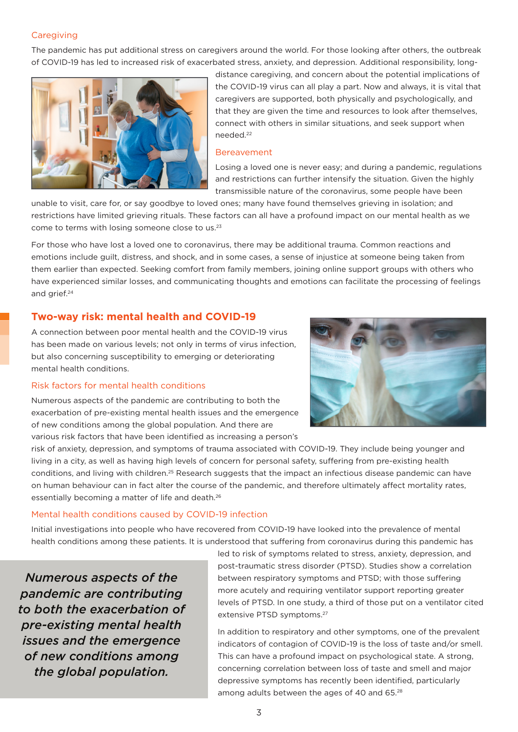# **Caregiving**

The pandemic has put additional stress on caregivers around the world. For those looking after others, the outbreak of COVID-19 has led to increased risk of exacerbated stress, anxiety, and depression. Additional responsibility, long-



distance caregiving, and concern about the potential implications of the COVID-19 virus can all play a part. Now and always, it is vital that caregivers are supported, both physically and psychologically, and that they are given the time and resources to look after themselves, connect with others in similar situations, and seek support when needed.22

#### Bereavement

Losing a loved one is never easy; and during a pandemic, regulations and restrictions can further intensify the situation. Given the highly transmissible nature of the coronavirus, some people have been

unable to visit, care for, or say goodbye to loved ones; many have found themselves grieving in isolation; and restrictions have limited grieving rituals. These factors can all have a profound impact on our mental health as we come to terms with losing someone close to us.23

For those who have lost a loved one to coronavirus, there may be additional trauma. Common reactions and emotions include guilt, distress, and shock, and in some cases, a sense of injustice at someone being taken from them earlier than expected. Seeking comfort from family members, joining online support groups with others who have experienced similar losses, and communicating thoughts and emotions can facilitate the processing of feelings and grief.24

# **Two-way risk: mental health and COVID-19**

A connection between poor mental health and the COVID-19 virus has been made on various levels; not only in terms of virus infection, but also concerning susceptibility to emerging or deteriorating mental health conditions.

#### Risk factors for mental health conditions

Numerous aspects of the pandemic are contributing to both the exacerbation of pre-existing mental health issues and the emergence of new conditions among the global population. And there are various risk factors that have been identified as increasing a person's



risk of anxiety, depression, and symptoms of trauma associated with COVID-19. They include being younger and living in a city, as well as having high levels of concern for personal safety, suffering from pre-existing health conditions, and living with children.<sup>25</sup> Research suggests that the impact an infectious disease pandemic can have on human behaviour can in fact alter the course of the pandemic, and therefore ultimately affect mortality rates, essentially becoming a matter of life and death.<sup>26</sup>

### Mental health conditions caused by COVID-19 infection

Initial investigations into people who have recovered from COVID-19 have looked into the prevalence of mental health conditions among these patients. It is understood that suffering from coronavirus during this pandemic has

*Numerous aspects of the pandemic are contributing to both the exacerbation of pre-existing mental health issues and the emergence of new conditions among the global population.*

led to risk of symptoms related to stress, anxiety, depression, and post-traumatic stress disorder (PTSD). Studies show a correlation between respiratory symptoms and PTSD; with those suffering more acutely and requiring ventilator support reporting greater levels of PTSD. In one study, a third of those put on a ventilator cited extensive PTSD symptoms.27

In addition to respiratory and other symptoms, one of the prevalent indicators of contagion of COVID-19 is the loss of taste and/or smell. This can have a profound impact on psychological state. A strong, concerning correlation between loss of taste and smell and major depressive symptoms has recently been identified, particularly among adults between the ages of 40 and 65.<sup>28</sup>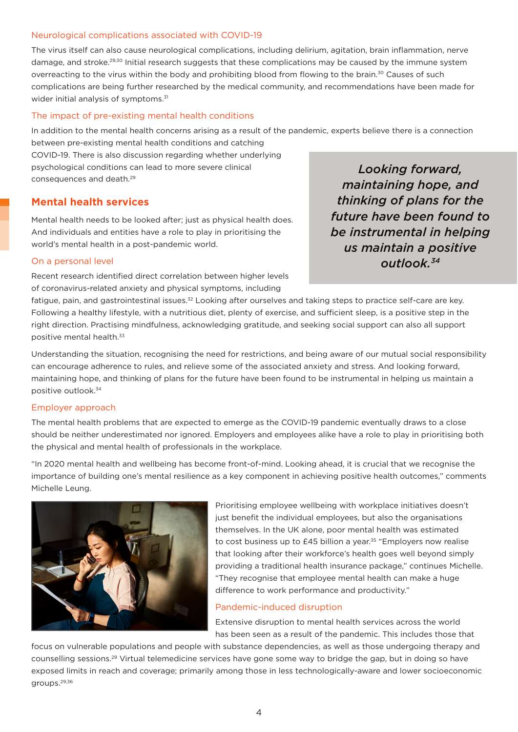# Neurological complications associated with COVID-19

The virus itself can also cause neurological complications, including delirium, agitation, brain inflammation, nerve damage, and stroke.<sup>29,30</sup> Initial research suggests that these complications may be caused by the immune system overreacting to the virus within the body and prohibiting blood from flowing to the brain.<sup>30</sup> Causes of such complications are being further researched by the medical community, and recommendations have been made for wider initial analysis of symptoms.<sup>31</sup>

## The impact of pre-existing mental health conditions

In addition to the mental health concerns arising as a result of the pandemic, experts believe there is a connection between pre-existing mental health conditions and catching

COVID-19. There is also discussion regarding whether underlying psychological conditions can lead to more severe clinical consequences and death.29

# **Mental health services**

Mental health needs to be looked after; just as physical health does. And individuals and entities have a role to play in prioritising the world's mental health in a post-pandemic world.

On a personal level

Recent research identified direct correlation between higher levels of coronavirus-related anxiety and physical symptoms, including

*Looking forward, maintaining hope, and thinking of plans for the future have been found to be instrumental in helping us maintain a positive outlook.34*

fatigue, pain, and gastrointestinal issues.<sup>32</sup> Looking after ourselves and taking steps to practice self-care are key. Following a healthy lifestyle, with a nutritious diet, plenty of exercise, and sufficient sleep, is a positive step in the right direction. Practising mindfulness, acknowledging gratitude, and seeking social support can also all support positive mental health.<sup>33</sup>

Understanding the situation, recognising the need for restrictions, and being aware of our mutual social responsibility can encourage adherence to rules, and relieve some of the associated anxiety and stress. And looking forward, maintaining hope, and thinking of plans for the future have been found to be instrumental in helping us maintain a positive outlook.34

### Employer approach

The mental health problems that are expected to emerge as the COVID-19 pandemic eventually draws to a close should be neither underestimated nor ignored. Employers and employees alike have a role to play in prioritising both the physical and mental health of professionals in the workplace.

"In 2020 mental health and wellbeing has become front-of-mind. Looking ahead, it is crucial that we recognise the importance of building one's mental resilience as a key component in achieving positive health outcomes," comments Michelle Leung.



Prioritising employee wellbeing with workplace initiatives doesn't just benefit the individual employees, but also the organisations themselves. In the UK alone, poor mental health was estimated to cost business up to £45 billion a year.<sup>35</sup> "Employers now realise that looking after their workforce's health goes well beyond simply providing a traditional health insurance package," continues Michelle. "They recognise that employee mental health can make a huge difference to work performance and productivity."

### Pandemic-induced disruption

Extensive disruption to mental health services across the world has been seen as a result of the pandemic. This includes those that

focus on vulnerable populations and people with substance dependencies, as well as those undergoing therapy and counselling sessions.29 Virtual telemedicine services have gone some way to bridge the gap, but in doing so have exposed limits in reach and coverage; primarily among those in less technologically-aware and lower socioeconomic groups.29,36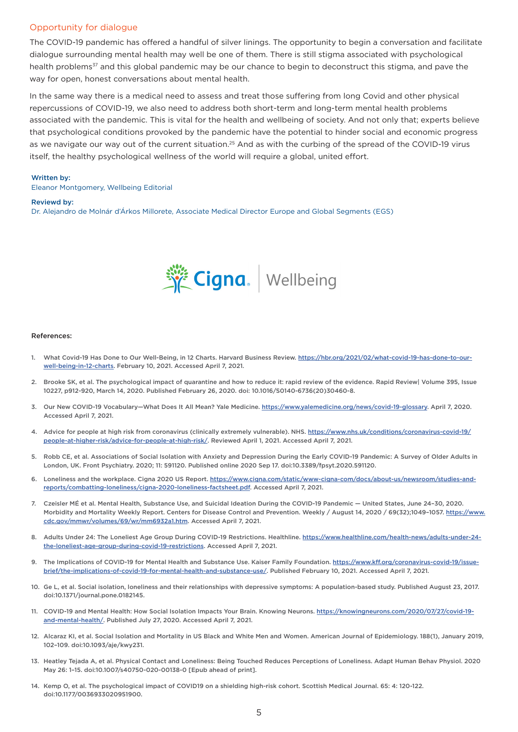#### Opportunity for dialogue

The COVID-19 pandemic has offered a handful of silver linings. The opportunity to begin a conversation and facilitate dialogue surrounding mental health may well be one of them. There is still stigma associated with psychological health problems<sup>37</sup> and this global pandemic may be our chance to begin to deconstruct this stigma, and paye the way for open, honest conversations about mental health.

In the same way there is a medical need to assess and treat those suffering from long Covid and other physical repercussions of COVID-19, we also need to address both short-term and long-term mental health problems associated with the pandemic. This is vital for the health and wellbeing of society. And not only that; experts believe that psychological conditions provoked by the pandemic have the potential to hinder social and economic progress as we navigate our way out of the current situation.<sup>25</sup> And as with the curbing of the spread of the COVID-19 virus itself, the healthy psychological wellness of the world will require a global, united effort.

#### Written by:

Eleanor Montgomery, Wellbeing Editorial

#### Reviewd by:

Dr. Alejandro de Molnár d'Árkos Millorete, Associate Medical Director Europe and Global Segments (EGS)



#### References:

- 1. What Covid-19 Has Done to Our Well-Being, in 12 Charts. Harvard Business Review. [https://hbr.org/2021/02/what-covid-19-has-done-to-our](https://hbr.org/2021/02/what-covid-19-has-done-to-our-well-being-in-12-charts)[well-being-in-12-charts.](https://hbr.org/2021/02/what-covid-19-has-done-to-our-well-being-in-12-charts) February 10, 2021. Accessed April 7, 2021.
- 2. Brooke SK, et al. The psychological impact of quarantine and how to reduce it: rapid review of the evidence. Rapid Review| Volume 395, Issue 10227, p912-920, March 14, 2020. Published February 26, 2020. doi: 10.1016/S0140-6736(20)30460-8.
- 3. Our New COVID-19 Vocabulary—What Does It All Mean? Yale Medicine.<https://www.yalemedicine.org/news/covid-19-glossary>. April 7, 2020. Accessed April 7, 2021.
- 4. Advice for people at high risk from coronavirus (clinically extremely vulnerable). NHS. [https://www.nhs.uk/conditions/coronavirus-covid-19/](https://www.nhs.uk/conditions/coronavirus-covid-19/people-at-higher-risk/advice-for-people-at-high-risk/) [people-at-higher-risk/advice-for-people-at-high-risk/.](https://www.nhs.uk/conditions/coronavirus-covid-19/people-at-higher-risk/advice-for-people-at-high-risk/) Reviewed April 1, 2021. Accessed April 7, 2021.
- 5. Robb CE, et al. Associations of Social Isolation with Anxiety and Depression During the Early COVID-19 Pandemic: A Survey of Older Adults in London, UK. Front Psychiatry. 2020; 11: 591120. Published online 2020 Sep 17. doi:10.3389/fpsyt.2020.591120.
- 6. Loneliness and the workplace. Cigna 2020 US Report. [https://www.cigna.com/static/www-cigna-com/docs/about-us/newsroom/studies-and](https://www.cigna.com/static/www-cigna-com/docs/about-us/newsroom/studies-and-reports/combatting-loneliness/cigna-2020-loneliness-factsheet.pdf)[reports/combatting-loneliness/cigna-2020-loneliness-factsheet.pdf](https://www.cigna.com/static/www-cigna-com/docs/about-us/newsroom/studies-and-reports/combatting-loneliness/cigna-2020-loneliness-factsheet.pdf). Accessed April 7, 2021.
- 7. Czeisler MÉ et al. Mental Health, Substance Use, and Suicidal Ideation During the COVID-19 Pandemic United States, June 24–30, 2020. Morbidity and Mortality Weekly Report. Centers for Disease Control and Prevention. Weekly / August 14, 2020 / 69(32);1049–1057. [https://www.](https://www.cdc.gov/mmwr/volumes/69/wr/mm6932a1.htm) [cdc.gov/mmwr/volumes/69/wr/mm6932a1.htm.](https://www.cdc.gov/mmwr/volumes/69/wr/mm6932a1.htm) Accessed April 7, 2021.
- 8. Adults Under 24: The Loneliest Age Group During COVID-19 Restrictions. Healthline. [https://www.healthline.com/health-news/adults-under-24](https://www.healthline.com/health-news/adults-under-24-the-loneliest-age-group-during-covid-19-restrictions) [the-loneliest-age-group-during-covid-19-restrictions](https://www.healthline.com/health-news/adults-under-24-the-loneliest-age-group-during-covid-19-restrictions). Accessed April 7, 2021.
- 9. The Implications of COVID-19 for Mental Health and Substance Use. Kaiser Family Foundation. [https://www.kff.org/coronavirus-covid-19/issue](https://www.kff.org/coronavirus-covid-19/issue-brief/the-implications-of-covid-19-for-mental-health-and-substance-use/)[brief/the-implications-of-covid-19-for-mental-health-and-substance-use/.](https://www.kff.org/coronavirus-covid-19/issue-brief/the-implications-of-covid-19-for-mental-health-and-substance-use/) Published February 10, 2021. Accessed April 7, 2021.
- 10. Ge L, et al. Social isolation, loneliness and their relationships with depressive symptoms: A population-based study. Published August 23, 2017. doi:10.1371/journal.pone.0182145.
- 11. COVID-19 and Mental Health: How Social Isolation Impacts Your Brain. Knowing Neurons. [https://knowingneurons.com/2020/07/27/covid-19](https://knowingneurons.com/2020/07/27/covid-19-and-mental-health/) [and-mental-health/.](https://knowingneurons.com/2020/07/27/covid-19-and-mental-health/) Published July 27, 2020. Accessed April 7, 2021.
- 12. Alcaraz KI, et al. Social Isolation and Mortality in US Black and White Men and Women. American Journal of Epidemiology. 188(1), January 2019, 102–109. doi:10.1093/aje/kwy231.
- 13. Heatley Tejada A, et al. Physical Contact and Loneliness: Being Touched Reduces Perceptions of Loneliness. Adapt Human Behav Physiol. 2020 May 26: 1–15. doi:10.1007/s40750-020-00138-0 [Epub ahead of print].
- 14. Kemp O, et al. The psychological impact of COVID19 on a shielding high-risk cohort. Scottish Medical Journal. 65: 4: 120-122. doi:10.1177/0036933020951900.